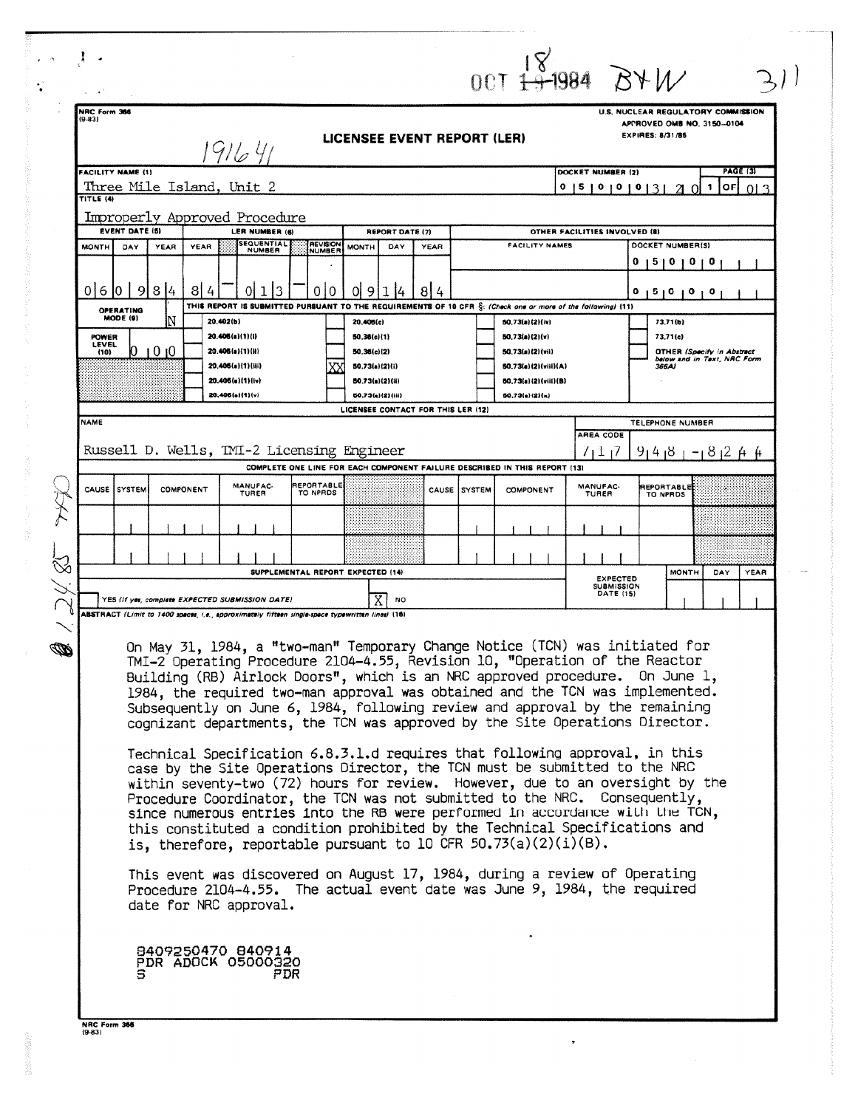|   |                                                                                                                                                                                                                                                                                                                                                                                                                                                                                                                                                                                                                                                                                                                                                                                                                                                                                                                                                                                                                                                                                                                                                                 |                                                                                                                                                                           |     |                                                           |  |                                                         |   |                                                                                                                                                 |                  |             |                       |                                                                              |                  | 0.01134984 BYM                              |                                                                           |                        |          |  |  |
|---|-----------------------------------------------------------------------------------------------------------------------------------------------------------------------------------------------------------------------------------------------------------------------------------------------------------------------------------------------------------------------------------------------------------------------------------------------------------------------------------------------------------------------------------------------------------------------------------------------------------------------------------------------------------------------------------------------------------------------------------------------------------------------------------------------------------------------------------------------------------------------------------------------------------------------------------------------------------------------------------------------------------------------------------------------------------------------------------------------------------------------------------------------------------------|---------------------------------------------------------------------------------------------------------------------------------------------------------------------------|-----|-----------------------------------------------------------|--|---------------------------------------------------------|---|-------------------------------------------------------------------------------------------------------------------------------------------------|------------------|-------------|-----------------------|------------------------------------------------------------------------------|------------------|---------------------------------------------|---------------------------------------------------------------------------|------------------------|----------|--|--|
|   | NRC Form 366                                                                                                                                                                                                                                                                                                                                                                                                                                                                                                                                                                                                                                                                                                                                                                                                                                                                                                                                                                                                                                                                                                                                                    |                                                                                                                                                                           |     |                                                           |  |                                                         |   |                                                                                                                                                 |                  |             |                       |                                                                              |                  |                                             |                                                                           |                        |          |  |  |
|   | U.S. NUCLEAR REGULATORY COMMISSION<br>$(9-83)$<br>APPROVED OMB NO. 3150-0104<br><b>EXPIRES: 8/31/85</b><br>LICENSEE EVENT REPORT (LER)<br>1916 41                                                                                                                                                                                                                                                                                                                                                                                                                                                                                                                                                                                                                                                                                                                                                                                                                                                                                                                                                                                                               |                                                                                                                                                                           |     |                                                           |  |                                                         |   |                                                                                                                                                 |                  |             |                       |                                                                              |                  |                                             |                                                                           |                        |          |  |  |
|   |                                                                                                                                                                                                                                                                                                                                                                                                                                                                                                                                                                                                                                                                                                                                                                                                                                                                                                                                                                                                                                                                                                                                                                 | <b>PAGE (3)</b><br><b>FACILITY NAME (1)</b><br>DOCKET NUMBER (2)<br>Three Mile Island, Unit 2<br>$\mathbf{1}$<br> OF <br>0   5   0   0   0   3  <br>013<br>21<br>$\Omega$ |     |                                                           |  |                                                         |   |                                                                                                                                                 |                  |             |                       |                                                                              |                  |                                             |                                                                           |                        |          |  |  |
|   | TITLE (4)<br>Improperly Approved Procedure<br><b>EVENT DATE (5)</b><br>LER NUMBER (6)<br>REPORT DATE (7)<br>OTHER FACILITIES INVOLVED (8)                                                                                                                                                                                                                                                                                                                                                                                                                                                                                                                                                                                                                                                                                                                                                                                                                                                                                                                                                                                                                       |                                                                                                                                                                           |     |                                                           |  |                                                         |   |                                                                                                                                                 |                  |             |                       |                                                                              |                  |                                             |                                                                           |                        |          |  |  |
|   | <b>SEQUENTIAL</b><br><b>MONTH</b><br>DAY<br>YEAR<br><b>YEAR</b><br><b>NUMBER</b>                                                                                                                                                                                                                                                                                                                                                                                                                                                                                                                                                                                                                                                                                                                                                                                                                                                                                                                                                                                                                                                                                |                                                                                                                                                                           |     |                                                           |  | <b>REVISION</b><br>DAY<br><b>MONTH</b><br><b>NUMBER</b> |   |                                                                                                                                                 |                  | <b>YEAR</b> | <b>FACILITY NAMES</b> |                                                                              |                  |                                             | DOCKET NUMBER(S)<br>15101010                                              |                        |          |  |  |
|   | 0 6 10                                                                                                                                                                                                                                                                                                                                                                                                                                                                                                                                                                                                                                                                                                                                                                                                                                                                                                                                                                                                                                                                                                                                                          | l 9l                                                                                                                                                                      | 8 4 | 8                                                         |  |                                                         | 0 | 0                                                                                                                                               | 9                |             | 814                   |                                                                              |                  |                                             |                                                                           | ٥                      | 12101010 |  |  |
|   | OPERATING<br>MODE (9)<br>20.402(b)<br>20.406(a)(1)(i)<br><b>POWER</b>                                                                                                                                                                                                                                                                                                                                                                                                                                                                                                                                                                                                                                                                                                                                                                                                                                                                                                                                                                                                                                                                                           |                                                                                                                                                                           |     |                                                           |  |                                                         |   | THIS REPORT IS SUBMITTED PURSUANT TO THE REQUIREMENTS OF 10 CFR S: (Check one or more of the following) (11)<br>20,406(c)<br>50.36(c)(1)        |                  |             |                       | 50.73(a)(2)(iv)<br>50.73(a)(2)(v)                                            |                  |                                             | 73.71(b)<br>73,71(c)                                                      |                        |          |  |  |
|   | LEVEL<br>0 1 0 1 0<br>(10)                                                                                                                                                                                                                                                                                                                                                                                                                                                                                                                                                                                                                                                                                                                                                                                                                                                                                                                                                                                                                                                                                                                                      |                                                                                                                                                                           |     | 20.405(a)(1)(ii)<br>20.405(a)(1)(iii)<br>20.405(a)(1)(iv) |  |                                                         |   | 50.36(c)(2)<br>50.73(a)(2)(i)<br>50,73(a)(2)(ii)                                                                                                |                  |             |                       | 50.73(a)(2)(vii)<br>80.73(a)(2)(viii)(A)                                     |                  |                                             | <b>OTHER (Specify in Abstract</b><br>below and in Text, NRC Form<br>366A) |                        |          |  |  |
|   |                                                                                                                                                                                                                                                                                                                                                                                                                                                                                                                                                                                                                                                                                                                                                                                                                                                                                                                                                                                                                                                                                                                                                                 |                                                                                                                                                                           |     |                                                           |  | 20,406(a)(1)(v)                                         |   |                                                                                                                                                 | 50.73(a)(2)(iii) |             |                       | 50,73(a)(2)(viii)(B)<br>50,73(a)(2)(n)<br>LICENSEE CONTACT FOR THIS LER (12) |                  |                                             |                                                                           |                        |          |  |  |
|   | <b>NAME</b><br>Russell D. Wells, TMI-2 Licensing Engineer                                                                                                                                                                                                                                                                                                                                                                                                                                                                                                                                                                                                                                                                                                                                                                                                                                                                                                                                                                                                                                                                                                       |                                                                                                                                                                           |     |                                                           |  |                                                         |   |                                                                                                                                                 |                  |             |                       |                                                                              | AREA CODE<br>111 | <b>TELEPHONE NUMBER</b><br>$91418 + 181244$ |                                                                           |                        |          |  |  |
|   | MANUFAC-<br>CAUSE ISYSTEM<br>COMPONENT<br>TURER                                                                                                                                                                                                                                                                                                                                                                                                                                                                                                                                                                                                                                                                                                                                                                                                                                                                                                                                                                                                                                                                                                                 |                                                                                                                                                                           |     |                                                           |  |                                                         |   | COMPLETE ONE LINE FOR EACH COMPONENT FAILURE DESCRIBED IN THIS REPORT (13)<br><b>REPORTABLE</b><br>CAUSE SYSTEM<br><b>COMPONENT</b><br>TO NPROS |                  |             |                       |                                                                              |                  |                                             | MANUFAC-<br>TURER                                                         | REPORTABLE<br>TO NPRDS |          |  |  |
|   |                                                                                                                                                                                                                                                                                                                                                                                                                                                                                                                                                                                                                                                                                                                                                                                                                                                                                                                                                                                                                                                                                                                                                                 |                                                                                                                                                                           |     |                                                           |  |                                                         |   |                                                                                                                                                 |                  |             |                       |                                                                              |                  |                                             |                                                                           |                        |          |  |  |
|   |                                                                                                                                                                                                                                                                                                                                                                                                                                                                                                                                                                                                                                                                                                                                                                                                                                                                                                                                                                                                                                                                                                                                                                 |                                                                                                                                                                           |     |                                                           |  |                                                         |   |                                                                                                                                                 |                  |             |                       | YEAR                                                                         |                  |                                             |                                                                           |                        |          |  |  |
|   | SUPPLEMENTAL REPORT EXPECTED (14)<br><b>MONTH</b><br>DAY<br><b>EXPECTED</b><br><b>SUBMISSION</b><br>DATE (15)<br>YES (if yes, complete EXPECTED SUBMISSION DATE)<br>NO                                                                                                                                                                                                                                                                                                                                                                                                                                                                                                                                                                                                                                                                                                                                                                                                                                                                                                                                                                                          |                                                                                                                                                                           |     |                                                           |  |                                                         |   |                                                                                                                                                 |                  |             |                       |                                                                              |                  |                                             |                                                                           |                        |          |  |  |
| D | ABSTRACT (Limit to 1400 spaces, i.e., approximately fifteen single-space typewritten lines) (16)<br>On May 31, 1984, a "two-man" Temporary Change Notice (TCN) was initiated for<br>TMI-2 Operating Procedure 2104-4.55, Revision 10, "Operation of the Reactor<br>Building (RB) Airlock Doors", which is an NRC approved procedure. On June 1,<br>1984, the required two-man approval was obtained and the TCN was implemented.<br>Subsequently on June 6, 1984, following review and approval by the remaining<br>cognizant departments, the TCN was approved by the Site Operations Director.<br>Technical Specification 6.8.3.1.d requires that following approval, in this<br>case by the Site Operations Director, the TCN must be submitted to the NRC<br>within seventy-two (72) hours for review. However, due to an oversight by the<br>Procedure Coordinator, the TCN was not submitted to the NRC. Consequently,<br>since numerous entries into the RB were performed in accordance with the TCN,<br>this constituted a condition prohibited by the Technical Specifications and<br>is, therefore, reportable pursuant to 10 CFR 50.73(a)(2)(i)(B). |                                                                                                                                                                           |     |                                                           |  |                                                         |   |                                                                                                                                                 |                  |             |                       |                                                                              |                  |                                             |                                                                           |                        |          |  |  |
|   | This event was discovered on August 17, 1984, during a review of Operating<br>Procedure 2104-4.55. The actual event date was June 9, 1984, the required<br>date for NRC approval.<br>8409250470 840914<br>PDR ADOCK 05000320<br>FDR                                                                                                                                                                                                                                                                                                                                                                                                                                                                                                                                                                                                                                                                                                                                                                                                                                                                                                                             |                                                                                                                                                                           |     |                                                           |  |                                                         |   |                                                                                                                                                 |                  |             |                       |                                                                              |                  |                                             |                                                                           |                        |          |  |  |
|   |                                                                                                                                                                                                                                                                                                                                                                                                                                                                                                                                                                                                                                                                                                                                                                                                                                                                                                                                                                                                                                                                                                                                                                 |                                                                                                                                                                           |     |                                                           |  |                                                         |   |                                                                                                                                                 |                  |             |                       |                                                                              |                  |                                             |                                                                           |                        |          |  |  |

 $\ddot{\phantom{0}}$ 

**Controller**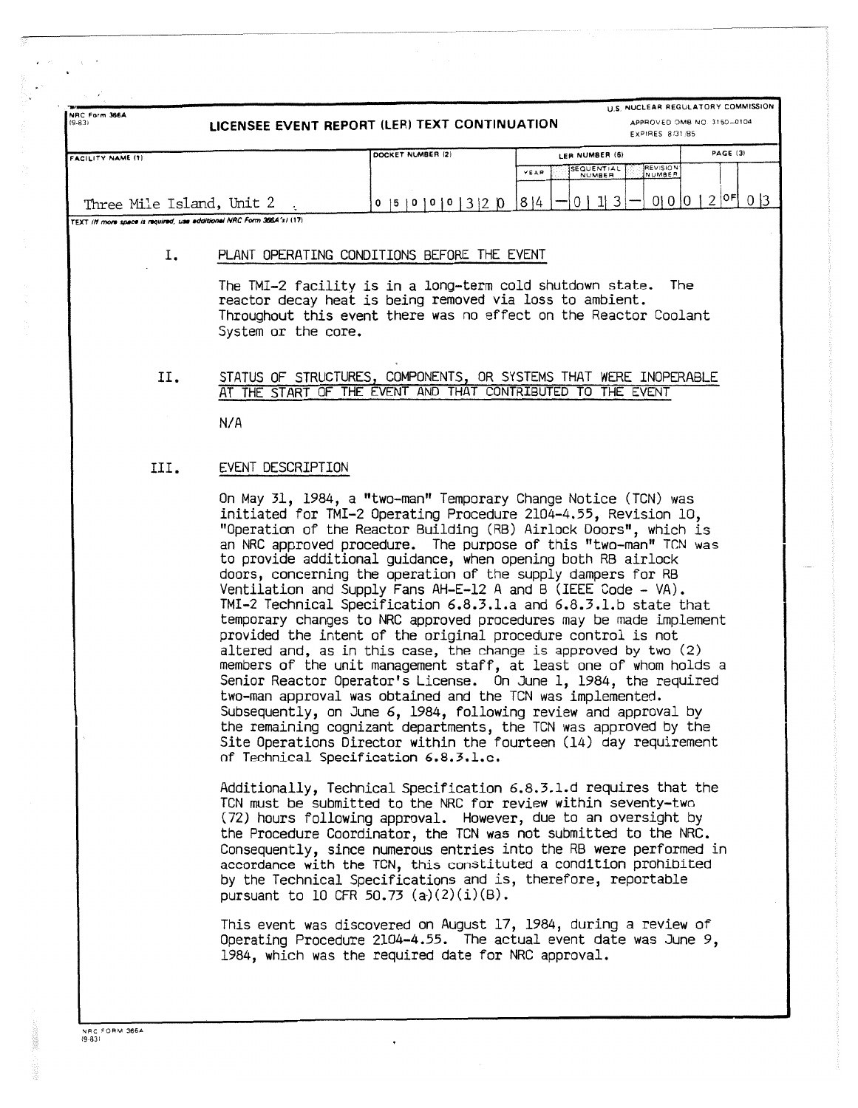| NRC Form 366A<br>$(9-83)$                                             | U.S. NUCLEAR REGULATORY COMMISSION<br>LICENSEE EVENT REPORT (LER) TEXT CONTINUATION<br>APPROVED OMB NO. 3150-0104<br>EXPIRES 8/31/85 |                                                                                                                                                                                                                                                                                                                                                                                                                                                                                                                                                                                                                                                                                                                                                                                                                                                                                                                                                                                                                                                                                                                                                                                                                      |                                                           |                   |  |  |  |  |  |  |
|-----------------------------------------------------------------------|--------------------------------------------------------------------------------------------------------------------------------------|----------------------------------------------------------------------------------------------------------------------------------------------------------------------------------------------------------------------------------------------------------------------------------------------------------------------------------------------------------------------------------------------------------------------------------------------------------------------------------------------------------------------------------------------------------------------------------------------------------------------------------------------------------------------------------------------------------------------------------------------------------------------------------------------------------------------------------------------------------------------------------------------------------------------------------------------------------------------------------------------------------------------------------------------------------------------------------------------------------------------------------------------------------------------------------------------------------------------|-----------------------------------------------------------|-------------------|--|--|--|--|--|--|
| <b>FACILITY NAME (1)</b>                                              |                                                                                                                                      | DOCKET NUMBER (2)                                                                                                                                                                                                                                                                                                                                                                                                                                                                                                                                                                                                                                                                                                                                                                                                                                                                                                                                                                                                                                                                                                                                                                                                    | LER NUMBER (6)                                            | PAGE (3)          |  |  |  |  |  |  |
|                                                                       |                                                                                                                                      |                                                                                                                                                                                                                                                                                                                                                                                                                                                                                                                                                                                                                                                                                                                                                                                                                                                                                                                                                                                                                                                                                                                                                                                                                      | <b>SEQUENTIAL</b><br>REVISION<br>NUMBER<br>YEAR<br>NUMBER |                   |  |  |  |  |  |  |
| Three Mile Island, Unit 2                                             |                                                                                                                                      | $0 \mid 5 \mid 0 \mid 0 \mid 0 \mid 3 \mid 2 \mid 0$                                                                                                                                                                                                                                                                                                                                                                                                                                                                                                                                                                                                                                                                                                                                                                                                                                                                                                                                                                                                                                                                                                                                                                 | 0   1   3<br> 8 4                                         | $0 0 0 2$ $0F 03$ |  |  |  |  |  |  |
| TEXT (If more space is required, use additional NRC Form 366A's) (17) |                                                                                                                                      |                                                                                                                                                                                                                                                                                                                                                                                                                                                                                                                                                                                                                                                                                                                                                                                                                                                                                                                                                                                                                                                                                                                                                                                                                      |                                                           |                   |  |  |  |  |  |  |
| Ι.                                                                    |                                                                                                                                      |                                                                                                                                                                                                                                                                                                                                                                                                                                                                                                                                                                                                                                                                                                                                                                                                                                                                                                                                                                                                                                                                                                                                                                                                                      |                                                           |                   |  |  |  |  |  |  |
|                                                                       | PLANT OPERATING CONDITIONS BEFORE THE EVENT                                                                                          |                                                                                                                                                                                                                                                                                                                                                                                                                                                                                                                                                                                                                                                                                                                                                                                                                                                                                                                                                                                                                                                                                                                                                                                                                      |                                                           |                   |  |  |  |  |  |  |
|                                                                       | System or the core.                                                                                                                  | The TMI-2 facility is in a long-term cold shutdown state.<br>reactor decay heat is being removed via loss to ambient.<br>Throughout this event there was no effect on the Reactor Coolant                                                                                                                                                                                                                                                                                                                                                                                                                                                                                                                                                                                                                                                                                                                                                                                                                                                                                                                                                                                                                            |                                                           | The               |  |  |  |  |  |  |
| П.                                                                    | АT                                                                                                                                   | STATUS OF STRUCTURES, COMPONENTS, OR SYSTEMS THAT WERE INOPERABLE<br>THE START OF THE EVENT AND THAT CONTRIBUTED TO THE EVENT                                                                                                                                                                                                                                                                                                                                                                                                                                                                                                                                                                                                                                                                                                                                                                                                                                                                                                                                                                                                                                                                                        |                                                           |                   |  |  |  |  |  |  |
|                                                                       | N/A                                                                                                                                  |                                                                                                                                                                                                                                                                                                                                                                                                                                                                                                                                                                                                                                                                                                                                                                                                                                                                                                                                                                                                                                                                                                                                                                                                                      |                                                           |                   |  |  |  |  |  |  |
| III.                                                                  | EVENT DESCRIPTION                                                                                                                    |                                                                                                                                                                                                                                                                                                                                                                                                                                                                                                                                                                                                                                                                                                                                                                                                                                                                                                                                                                                                                                                                                                                                                                                                                      |                                                           |                   |  |  |  |  |  |  |
|                                                                       |                                                                                                                                      | On May 31, 1984, a "two-man" Temporary Change Notice (TCN) was<br>initiated for TMI-2 Operating Procedure 2104-4.55, Revision 10,<br>"Operation of the Reactor Building (RB) Airlock Doors", which is<br>an NRC approved procedure. The purpose of this "two-man" TCN was<br>to provide additional guidance, when opening both RB airlock<br>doors, concerning the operation of the supply dampers for RB<br>Ventilation and Supply Fans AH-E-12 A and B (IEEE Code - VA).<br>TMI-2 Technical Specification 6.8.3.1.a and 6.8.3.1.b state that<br>temporary changes to NRC approved procedures may be made implement<br>provided the intent of the original procedure control is not<br>altered and, as in this case, the change is approved by two (2)<br>members of the unit management staff, at least one of whom holds a<br>Senior Reactor Operator's License. On June 1, 1984, the required<br>two-man approval was obtained and the TCN was implemented.<br>Subsequently, on June 6, 1984, following review and approval by<br>the remaining cognizant departments, the TCN was approved by the<br>Site Operations Director within the fourteen (14) day requirement<br>of Technical Specification 6.8.3.1.c. |                                                           |                   |  |  |  |  |  |  |
|                                                                       |                                                                                                                                      | Additionally, Technical Specification 6.8.3.1.d requires that the<br>TCN must be submitted to the NRC for review within seventy-two<br>(72) hours following approval. However, due to an oversight by<br>the Procedure Coordinator, the TCN was not submitted to the NRC.<br>Consequently, since numerous entries into the RB were performed in<br>accordance with the TCN, this constituted a condition prohibited<br>by the Technical Specifications and is, therefore, reportable<br>pursuant to 10 CFR 50.73 $(a)(2)(i)(B)$ .                                                                                                                                                                                                                                                                                                                                                                                                                                                                                                                                                                                                                                                                                    |                                                           |                   |  |  |  |  |  |  |
|                                                                       |                                                                                                                                      | This event was discovered on August 17, 1984, during a review of<br>Operating Procedure 2104-4.55. The actual event date was June 9,<br>1984, which was the required date for NRC approval.                                                                                                                                                                                                                                                                                                                                                                                                                                                                                                                                                                                                                                                                                                                                                                                                                                                                                                                                                                                                                          |                                                           |                   |  |  |  |  |  |  |
|                                                                       |                                                                                                                                      |                                                                                                                                                                                                                                                                                                                                                                                                                                                                                                                                                                                                                                                                                                                                                                                                                                                                                                                                                                                                                                                                                                                                                                                                                      |                                                           |                   |  |  |  |  |  |  |

 $\frac{1}{\sqrt{2}}\frac{1}{\sqrt{2}}$ 

l, ે

**防狼病**1.54

 $\overline{\phantom{a}}$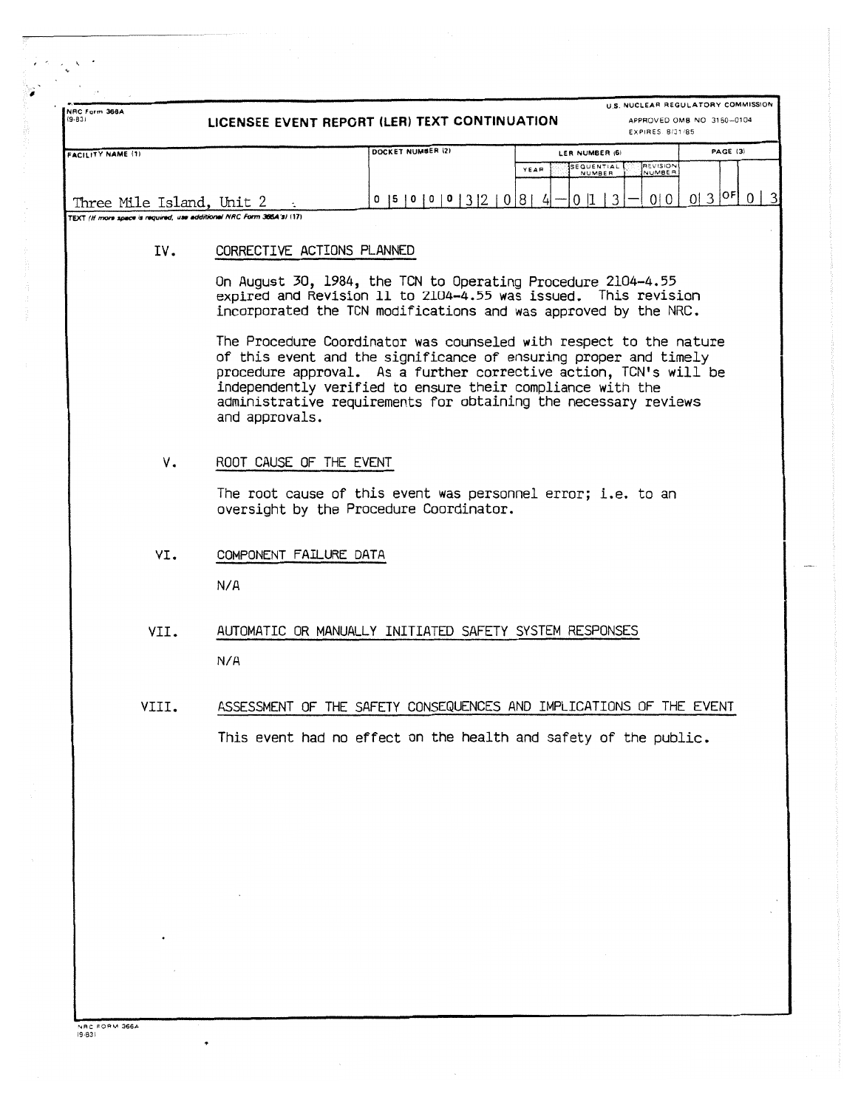| NRC Form 366A<br>$(9-83)$                                             | U.S. NUCLEAR REGULATORY COMMISSION<br>LICENSEE EVENT REPORT (LER) TEXT CONTINUATION<br>APPROVED OMB NO 3150-0104<br>EXPIRES 8/31/85                                                                                                                                                                                                                            |                  |                               |                           |                   |  |  |  |  |  |
|-----------------------------------------------------------------------|----------------------------------------------------------------------------------------------------------------------------------------------------------------------------------------------------------------------------------------------------------------------------------------------------------------------------------------------------------------|------------------|-------------------------------|---------------------------|-------------------|--|--|--|--|--|
| <b>FACILITY NAME (1)</b>                                              | DOCKET NUMBER (2)                                                                                                                                                                                                                                                                                                                                              |                  | LER NUMBER (6)                |                           | PAGE (3)          |  |  |  |  |  |
|                                                                       |                                                                                                                                                                                                                                                                                                                                                                |                  | SEQUENTIAL<br>YEAR<br>NUMBER  | <b>REVISION</b><br>NUMBER |                   |  |  |  |  |  |
|                                                                       |                                                                                                                                                                                                                                                                                                                                                                |                  |                               |                           |                   |  |  |  |  |  |
| Three Mile Island, Unit 2                                             |                                                                                                                                                                                                                                                                                                                                                                | 0  5 0 0 0 3 2 0 | 8 <sub>1</sub><br>0 1<br>- 41 | 0 0 <br>3                 | $0 3 ^{OF}$ 0   3 |  |  |  |  |  |
| TEXT (If more space is required, use additional NRC Form 366A's) (17) |                                                                                                                                                                                                                                                                                                                                                                |                  |                               |                           |                   |  |  |  |  |  |
| IV.                                                                   | CORRECTIVE ACTIONS PLANNED                                                                                                                                                                                                                                                                                                                                     |                  |                               |                           |                   |  |  |  |  |  |
|                                                                       | On August 30, 1984, the TCN to Operating Procedure 2104-4.55<br>expired and Revision 11 to 2104-4.55 was issued. This revision<br>incorporated the TCN modifications and was approved by the NRC.                                                                                                                                                              |                  |                               |                           |                   |  |  |  |  |  |
|                                                                       | The Procedure Coordinator was counseled with respect to the nature<br>of this event and the significance of ensuring proper and timely<br>procedure approval. As a further corrective action, TCN's will be<br>independently verified to ensure their compliance with the<br>administrative requirements for obtaining the necessary reviews<br>and approvals. |                  |                               |                           |                   |  |  |  |  |  |
| ν.                                                                    | ROOT CAUSE OF THE EVENT                                                                                                                                                                                                                                                                                                                                        |                  |                               |                           |                   |  |  |  |  |  |
|                                                                       | The root cause of this event was personnel error; i.e. to an<br>oversight by the Procedure Coordinator.                                                                                                                                                                                                                                                        |                  |                               |                           |                   |  |  |  |  |  |
| VI.                                                                   | COMPONENT FAILURE DATA                                                                                                                                                                                                                                                                                                                                         |                  |                               |                           |                   |  |  |  |  |  |
|                                                                       | N/A                                                                                                                                                                                                                                                                                                                                                            |                  |                               |                           |                   |  |  |  |  |  |
| VII.                                                                  | AUTOMATIC OR MANUALLY INITIATED SAFETY SYSTEM RESPONSES                                                                                                                                                                                                                                                                                                        |                  |                               |                           |                   |  |  |  |  |  |
|                                                                       | N/A                                                                                                                                                                                                                                                                                                                                                            |                  |                               |                           |                   |  |  |  |  |  |
| VIII.                                                                 | ASSESSMENT OF THE SAFETY CONSEQUENCES AND IMPLICATIONS OF THE EVENT                                                                                                                                                                                                                                                                                            |                  |                               |                           |                   |  |  |  |  |  |
|                                                                       | This event had no effect on the health and safety of the public.                                                                                                                                                                                                                                                                                               |                  |                               |                           |                   |  |  |  |  |  |
|                                                                       |                                                                                                                                                                                                                                                                                                                                                                |                  |                               |                           |                   |  |  |  |  |  |
|                                                                       |                                                                                                                                                                                                                                                                                                                                                                |                  |                               |                           |                   |  |  |  |  |  |
|                                                                       |                                                                                                                                                                                                                                                                                                                                                                |                  |                               |                           |                   |  |  |  |  |  |
|                                                                       |                                                                                                                                                                                                                                                                                                                                                                |                  |                               |                           |                   |  |  |  |  |  |
|                                                                       |                                                                                                                                                                                                                                                                                                                                                                |                  |                               |                           |                   |  |  |  |  |  |
|                                                                       |                                                                                                                                                                                                                                                                                                                                                                |                  |                               |                           |                   |  |  |  |  |  |

NRC FORM 366A

 $\ddot{\phantom{0}}$